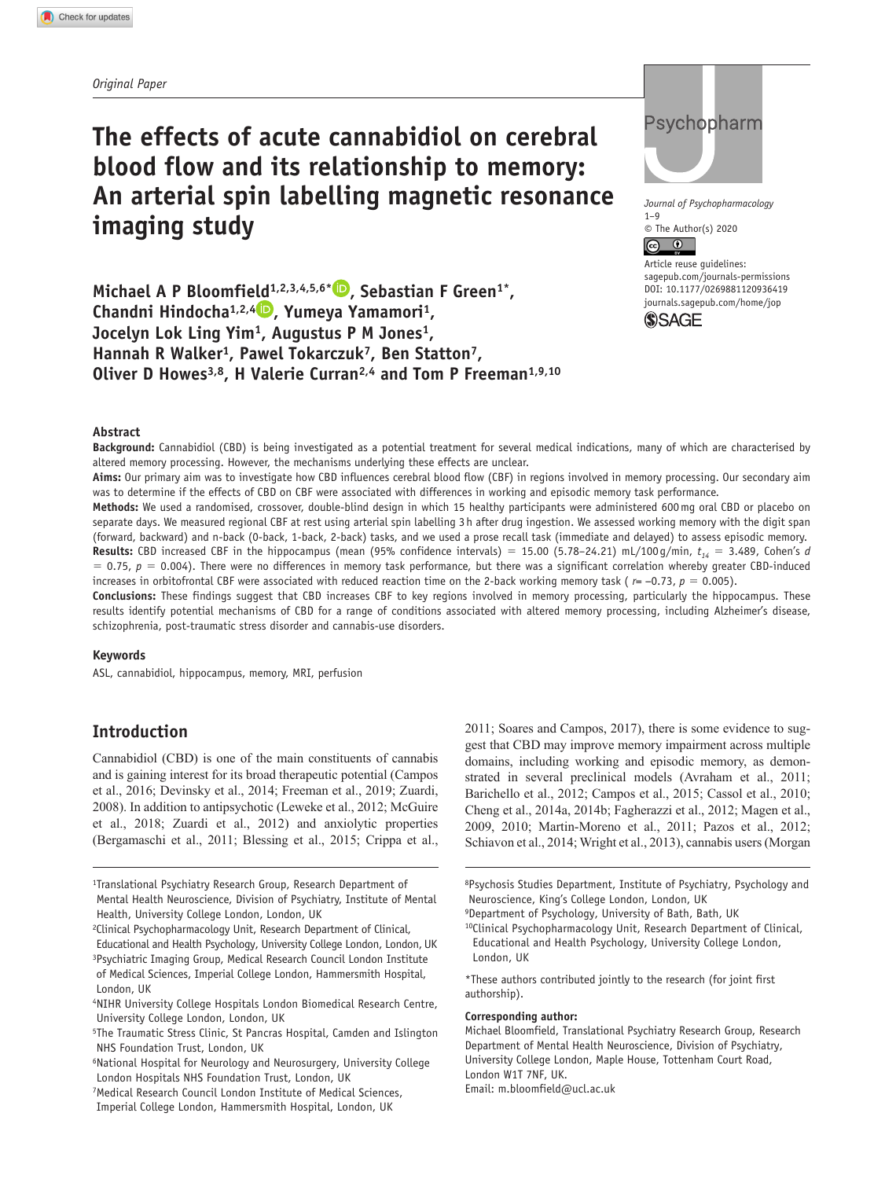# **The effects of acute cannabidiol on cerebral blood flow and its relationship to memory: An arterial spin labelling magnetic resonance imaging study**

Michael A P Bloomfield<sup>1,2,3,4,5,6\*<sup>1</sup>, Sebastian F Green<sup>1\*</sup>,</sup> **Chandni Hindocha1,2,4 , Yumeya Yamamori1, Jocelyn Lok Ling Yim1, Augustus P M Jones1,**  Hannah R Walker<sup>1</sup>, Pawel Tokarczuk<sup>7</sup>, Ben Statton<sup>7</sup>, **Oliver D Howes3,8, H Valerie Curran2,4 and Tom P Freeman1,9,10**



*Journal of Psychopharmacology*  $1 - 9$  $\circ$  The Author(s) 2020

DOI: 10.1177/0269881120936419 Article reuse quidelines: [sagepub.com/journals-permissions](https://uk.sagepub.com/en-gb/journals-permissions) [journals.sagepub.com/home/jop](https://journals.sagepub.com/home/jop)



# **Abstract**

**Background:** Cannabidiol (CBD) is being investigated as a potential treatment for several medical indications, many of which are characterised by altered memory processing. However, the mechanisms underlying these effects are unclear.

**Aims:** Our primary aim was to investigate how CBD influences cerebral blood flow (CBF) in regions involved in memory processing. Our secondary aim was to determine if the effects of CBD on CBF were associated with differences in working and episodic memory task performance.

**Methods:** We used a randomised, crossover, double-blind design in which 15 healthy participants were administered 600mg oral CBD or placebo on separate days. We measured regional CBF at rest using arterial spin labelling 3h after drug ingestion. We assessed working memory with the digit span (forward, backward) and n-back (0-back, 1-back, 2-back) tasks, and we used a prose recall task (immediate and delayed) to assess episodic memory. **Results:** CBD increased CBF in the hippocampus (mean (95% confidence intervals) = 15.00 (5.78-24.21) mL/100g/min,  $t_{14}$  = 3.489, Cohen's *d*  $= 0.75$ ,  $p = 0.004$ ). There were no differences in memory task performance, but there was a significant correlation whereby greater CBD-induced increases in orbitofrontal CBF were associated with reduced reaction time on the 2-back working memory task ( *r*= −0.73, *p* = 0.005).

**Conclusions:** These findings suggest that CBD increases CBF to key regions involved in memory processing, particularly the hippocampus. These results identify potential mechanisms of CBD for a range of conditions associated with altered memory processing, including Alzheimer's disease, schizophrenia, post-traumatic stress disorder and cannabis-use disorders.

## **Keywords**

ASL, cannabidiol, hippocampus, memory, MRI, perfusion

# **Introduction**

Cannabidiol (CBD) is one of the main constituents of cannabis and is gaining interest for its broad therapeutic potential (Campos et al., 2016; Devinsky et al., 2014; Freeman et al., 2019; Zuardi, 2008). In addition to antipsychotic (Leweke et al., 2012; McGuire et al., 2018; Zuardi et al., 2012) and anxiolytic properties (Bergamaschi et al., 2011; Blessing et al., 2015; Crippa et al., 2011; Soares and Campos, 2017), there is some evidence to suggest that CBD may improve memory impairment across multiple domains, including working and episodic memory, as demonstrated in several preclinical models (Avraham et al., 2011; Barichello et al., 2012; Campos et al., 2015; Cassol et al., 2010; Cheng et al., 2014a, 2014b; Fagherazzi et al., 2012; Magen et al., 2009, 2010; Martin-Moreno et al., 2011; Pazos et al., 2012; Schiavon et al., 2014; Wright et al., 2013), cannabis users (Morgan

#### **Corresponding author:**

Michael Bloomfield, Translational Psychiatry Research Group, Research Department of Mental Health Neuroscience, Division of Psychiatry, University College London, Maple House, Tottenham Court Road, London W1T 7NF, UK. Email: [m.bloomfield@ucl.ac.uk](mailto:m.bloomfield@ucl.ac.uk)

<sup>1</sup>Translational Psychiatry Research Group, Research Department of Mental Health Neuroscience, Division of Psychiatry, Institute of Mental Health, University College London, London, UK

<sup>2</sup>Clinical Psychopharmacology Unit, Research Department of Clinical, Educational and Health Psychology, University College London, London, UK 3Psychiatric Imaging Group, Medical Research Council London Institute of Medical Sciences, Imperial College London, Hammersmith Hospital, London, UK

<sup>4</sup>NIHR University College Hospitals London Biomedical Research Centre, University College London, London, UK

<sup>5</sup>The Traumatic Stress Clinic, St Pancras Hospital, Camden and Islington NHS Foundation Trust, London, UK

<sup>6</sup>National Hospital for Neurology and Neurosurgery, University College London Hospitals NHS Foundation Trust, London, UK

<sup>7</sup>Medical Research Council London Institute of Medical Sciences, Imperial College London, Hammersmith Hospital, London, UK

<sup>8</sup>Psychosis Studies Department, Institute of Psychiatry, Psychology and Neuroscience, King's College London, London, UK

<sup>9</sup>Department of Psychology, University of Bath, Bath, UK 10Clinical Psychopharmacology Unit, Research Department of Clinical,

Educational and Health Psychology, University College London, London, UK

<sup>\*</sup>These authors contributed jointly to the research (for joint first authorship).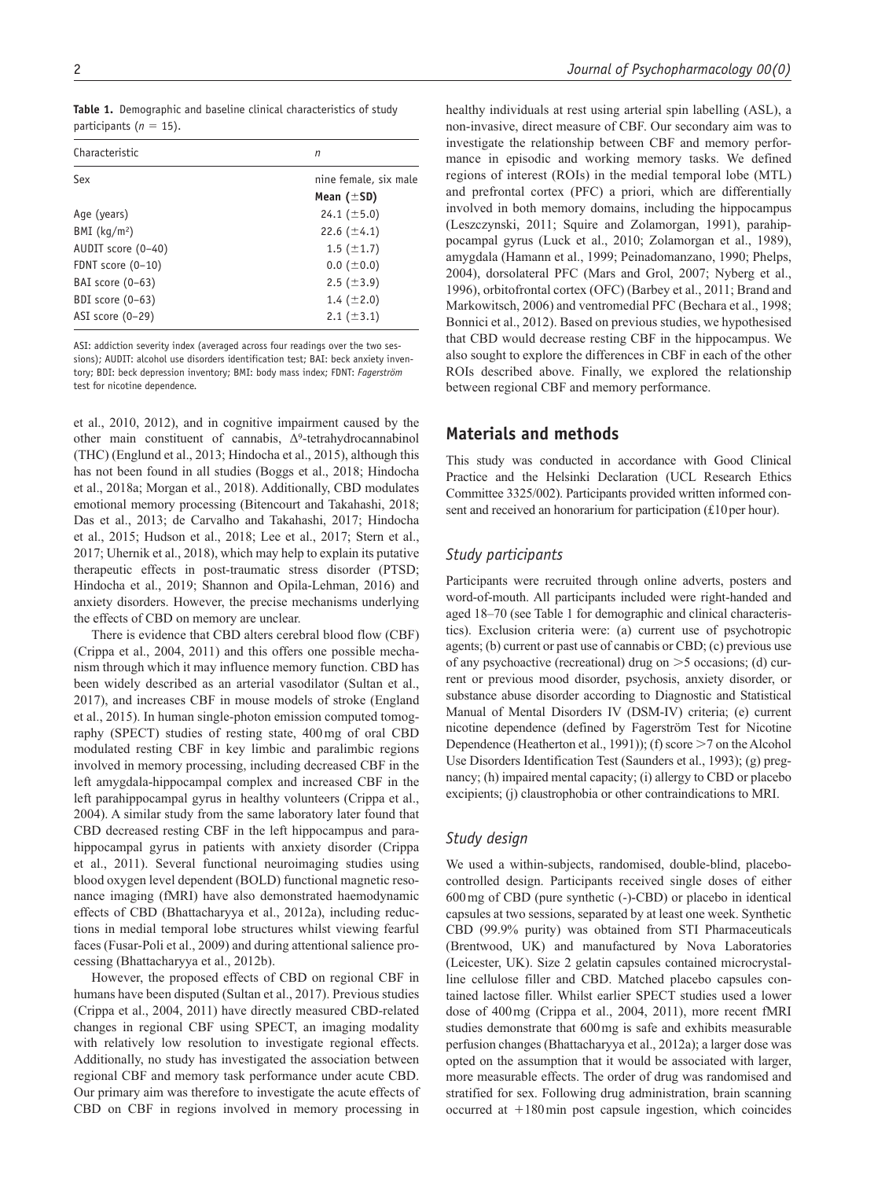Table 1. Demographic and baseline clinical characteristics of study participants  $(n = 15)$ .

| Characteristic             | n                     |  |  |
|----------------------------|-----------------------|--|--|
| Sex                        | nine female, six male |  |  |
|                            | Mean $(\pm SD)$       |  |  |
| Age (years)                | 24.1 $(\pm 5.0)$      |  |  |
| $BMI$ (kg/m <sup>2</sup> ) | 22.6 $(\pm 4.1)$      |  |  |
| AUDIT score (0-40)         | $1.5$ ( $\pm$ 1.7)    |  |  |
| FDNT score (0-10)          | $0.0$ ( $\pm 0.0$ )   |  |  |
| BAI score (0-63)           | 2.5 $(\pm 3.9)$       |  |  |
| BDI score (0-63)           | 1.4 $(\pm 2.0)$       |  |  |
| ASI score $(0-29)$         | 2.1 $(\pm 3.1)$       |  |  |

ASI: addiction severity index (averaged across four readings over the two sessions); AUDIT: alcohol use disorders identification test; BAI: beck anxiety inventory; BDI: beck depression inventory; BMI: body mass index; FDNT: *Fagerström* test for nicotine dependence.

et al., 2010, 2012), and in cognitive impairment caused by the other main constituent of cannabis, ∆9-tetrahydrocannabinol (THC) (Englund et al., 2013; Hindocha et al., 2015), although this has not been found in all studies (Boggs et al., 2018; Hindocha et al., 2018a; Morgan et al., 2018). Additionally, CBD modulates emotional memory processing (Bitencourt and Takahashi, 2018; Das et al., 2013; de Carvalho and Takahashi, 2017; Hindocha et al., 2015; Hudson et al., 2018; Lee et al., 2017; Stern et al., 2017; Uhernik et al., 2018), which may help to explain its putative therapeutic effects in post-traumatic stress disorder (PTSD; Hindocha et al., 2019; Shannon and Opila-Lehman, 2016) and anxiety disorders. However, the precise mechanisms underlying the effects of CBD on memory are unclear.

There is evidence that CBD alters cerebral blood flow (CBF) (Crippa et al., 2004, 2011) and this offers one possible mechanism through which it may influence memory function. CBD has been widely described as an arterial vasodilator (Sultan et al., 2017), and increases CBF in mouse models of stroke (England et al., 2015). In human single-photon emission computed tomography (SPECT) studies of resting state, 400mg of oral CBD modulated resting CBF in key limbic and paralimbic regions involved in memory processing, including decreased CBF in the left amygdala-hippocampal complex and increased CBF in the left parahippocampal gyrus in healthy volunteers (Crippa et al., 2004). A similar study from the same laboratory later found that CBD decreased resting CBF in the left hippocampus and parahippocampal gyrus in patients with anxiety disorder (Crippa et al., 2011). Several functional neuroimaging studies using blood oxygen level dependent (BOLD) functional magnetic resonance imaging (fMRI) have also demonstrated haemodynamic effects of CBD (Bhattacharyya et al., 2012a), including reductions in medial temporal lobe structures whilst viewing fearful faces (Fusar-Poli et al., 2009) and during attentional salience processing (Bhattacharyya et al., 2012b).

However, the proposed effects of CBD on regional CBF in humans have been disputed (Sultan et al., 2017). Previous studies (Crippa et al., 2004, 2011) have directly measured CBD-related changes in regional CBF using SPECT, an imaging modality with relatively low resolution to investigate regional effects. Additionally, no study has investigated the association between regional CBF and memory task performance under acute CBD. Our primary aim was therefore to investigate the acute effects of CBD on CBF in regions involved in memory processing in

healthy individuals at rest using arterial spin labelling (ASL), a non-invasive, direct measure of CBF. Our secondary aim was to investigate the relationship between CBF and memory performance in episodic and working memory tasks. We defined regions of interest (ROIs) in the medial temporal lobe (MTL) and prefrontal cortex (PFC) a priori, which are differentially involved in both memory domains, including the hippocampus (Leszczynski, 2011; Squire and Zolamorgan, 1991), parahippocampal gyrus (Luck et al., 2010; Zolamorgan et al., 1989), amygdala (Hamann et al., 1999; Peinadomanzano, 1990; Phelps, 2004), dorsolateral PFC (Mars and Grol, 2007; Nyberg et al., 1996), orbitofrontal cortex (OFC) (Barbey et al., 2011; Brand and Markowitsch, 2006) and ventromedial PFC (Bechara et al., 1998; Bonnici et al., 2012). Based on previous studies, we hypothesised that CBD would decrease resting CBF in the hippocampus. We also sought to explore the differences in CBF in each of the other ROIs described above. Finally, we explored the relationship between regional CBF and memory performance.

# **Materials and methods**

This study was conducted in accordance with Good Clinical Practice and the Helsinki Declaration (UCL Research Ethics Committee 3325/002). Participants provided written informed consent and received an honorarium for participation (£10 per hour).

# *Study participants*

Participants were recruited through online adverts, posters and word-of-mouth. All participants included were right-handed and aged 18–70 (see Table 1 for demographic and clinical characteristics). Exclusion criteria were: (a) current use of psychotropic agents; (b) current or past use of cannabis or CBD; (c) previous use of any psychoactive (recreational) drug on >5 occasions; (d) current or previous mood disorder, psychosis, anxiety disorder, or substance abuse disorder according to Diagnostic and Statistical Manual of Mental Disorders IV (DSM-IV) criteria; (e) current nicotine dependence (defined by Fagerström Test for Nicotine Dependence (Heatherton et al., 1991)); (f) score >7 on the Alcohol Use Disorders Identification Test (Saunders et al., 1993); (g) pregnancy; (h) impaired mental capacity; (i) allergy to CBD or placebo excipients; (j) claustrophobia or other contraindications to MRI.

## *Study design*

We used a within-subjects, randomised, double-blind, placebocontrolled design. Participants received single doses of either 600mg of CBD (pure synthetic (-)-CBD) or placebo in identical capsules at two sessions, separated by at least one week. Synthetic CBD (99.9% purity) was obtained from STI Pharmaceuticals (Brentwood, UK) and manufactured by Nova Laboratories (Leicester, UK). Size 2 gelatin capsules contained microcrystalline cellulose filler and CBD. Matched placebo capsules contained lactose filler. Whilst earlier SPECT studies used a lower dose of 400mg (Crippa et al., 2004, 2011), more recent fMRI studies demonstrate that 600mg is safe and exhibits measurable perfusion changes (Bhattacharyya et al., 2012a); a larger dose was opted on the assumption that it would be associated with larger, more measurable effects. The order of drug was randomised and stratified for sex. Following drug administration, brain scanning occurred at +180min post capsule ingestion, which coincides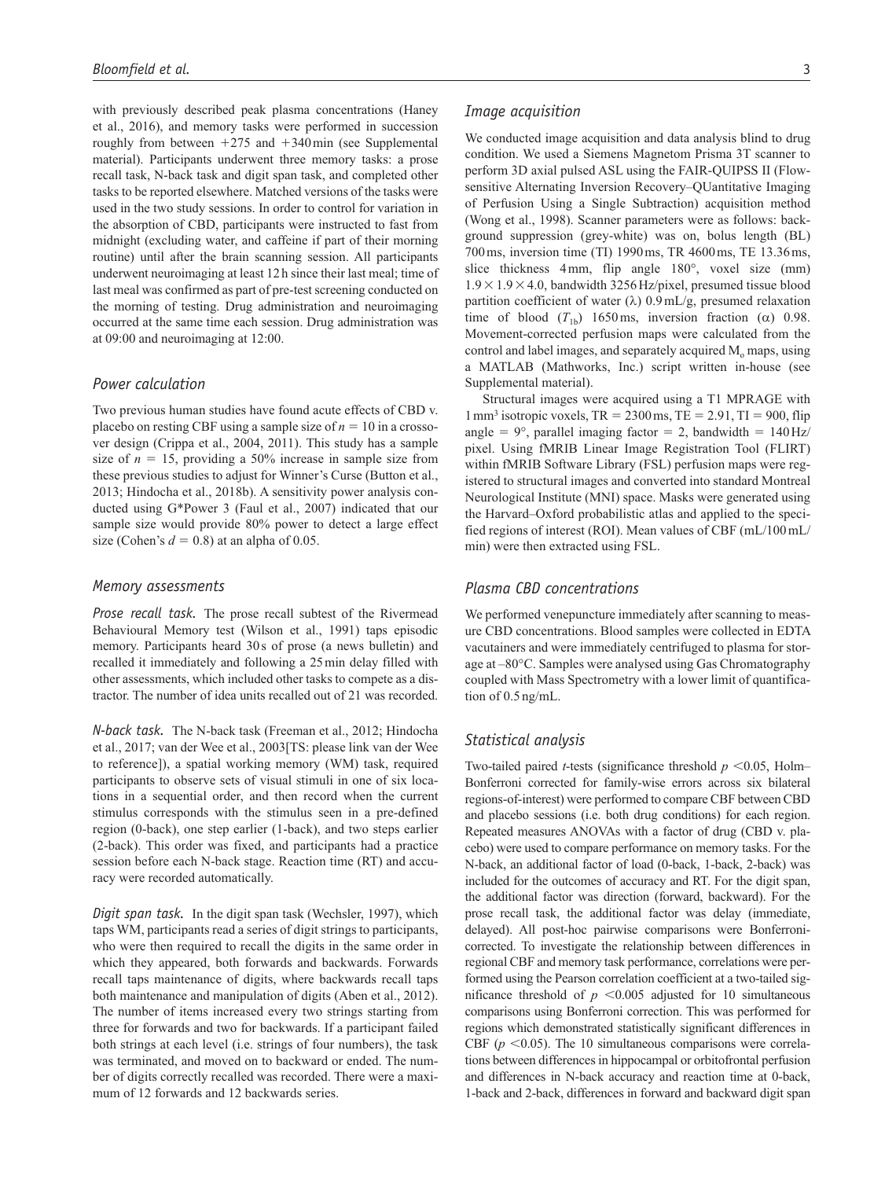with previously described peak plasma concentrations (Haney et al., 2016), and memory tasks were performed in succession roughly from between  $+275$  and  $+340$  min (see Supplemental material). Participants underwent three memory tasks: a prose recall task, N-back task and digit span task, and completed other tasks to be reported elsewhere. Matched versions of the tasks were used in the two study sessions. In order to control for variation in the absorption of CBD, participants were instructed to fast from midnight (excluding water, and caffeine if part of their morning routine) until after the brain scanning session. All participants underwent neuroimaging at least 12h since their last meal; time of last meal was confirmed as part of pre-test screening conducted on the morning of testing. Drug administration and neuroimaging occurred at the same time each session. Drug administration was at 09:00 and neuroimaging at 12:00.

# *Power calculation*

Two previous human studies have found acute effects of CBD v. placebo on resting CBF using a sample size of  $n = 10$  in a crossover design (Crippa et al., 2004, 2011). This study has a sample size of  $n = 15$ , providing a 50% increase in sample size from these previous studies to adjust for Winner's Curse (Button et al., 2013; Hindocha et al., 2018b). A sensitivity power analysis conducted using G\*Power 3 (Faul et al., 2007) indicated that our sample size would provide 80% power to detect a large effect size (Cohen's  $d = 0.8$ ) at an alpha of 0.05.

### *Memory assessments*

*Prose recall task.* The prose recall subtest of the Rivermead Behavioural Memory test (Wilson et al., 1991) taps episodic memory. Participants heard 30s of prose (a news bulletin) and recalled it immediately and following a 25min delay filled with other assessments, which included other tasks to compete as a distractor. The number of idea units recalled out of 21 was recorded.

*N-back task.* The N-back task (Freeman et al., 2012; Hindocha et al., 2017; van der Wee et al., 2003[TS: please link van der Wee to reference]), a spatial working memory (WM) task, required participants to observe sets of visual stimuli in one of six locations in a sequential order, and then record when the current stimulus corresponds with the stimulus seen in a pre-defined region (0-back), one step earlier (1-back), and two steps earlier (2-back). This order was fixed, and participants had a practice session before each N-back stage. Reaction time (RT) and accuracy were recorded automatically.

*Digit span task.* In the digit span task (Wechsler, 1997), which taps WM, participants read a series of digit strings to participants, who were then required to recall the digits in the same order in which they appeared, both forwards and backwards. Forwards recall taps maintenance of digits, where backwards recall taps both maintenance and manipulation of digits (Aben et al., 2012). The number of items increased every two strings starting from three for forwards and two for backwards. If a participant failed both strings at each level (i.e. strings of four numbers), the task was terminated, and moved on to backward or ended. The number of digits correctly recalled was recorded. There were a maximum of 12 forwards and 12 backwards series.

## *Image acquisition*

We conducted image acquisition and data analysis blind to drug condition. We used a Siemens Magnetom Prisma 3T scanner to perform 3D axial pulsed ASL using the FAIR-QUIPSS II (Flowsensitive Alternating Inversion Recovery–QUantitative Imaging of Perfusion Using a Single Subtraction) acquisition method (Wong et al., 1998). Scanner parameters were as follows: background suppression (grey-white) was on, bolus length (BL) 700ms, inversion time (TI) 1990ms, TR 4600ms, TE 13.36ms, slice thickness 4mm, flip angle 180°, voxel size (mm)  $1.9 \times 1.9 \times 4.0$ , bandwidth 3256 Hz/pixel, presumed tissue blood partition coefficient of water  $(\lambda)$  0.9mL/g, presumed relaxation time of blood  $(T_{1b})$  1650ms, inversion fraction ( $\alpha$ ) 0.98. Movement-corrected perfusion maps were calculated from the control and label images, and separately acquired  $M_0$  maps, using a MATLAB (Mathworks, Inc.) script written in-house (see Supplemental material).

Structural images were acquired using a T1 MPRAGE with  $1 \text{ mm}^3$  isotropic voxels, TR = 2300 ms, TE = 2.91, TI = 900, flip angle =  $9^{\circ}$ , parallel imaging factor = 2, bandwidth =  $140 \text{ Hz}$ / pixel. Using fMRIB Linear Image Registration Tool (FLIRT) within fMRIB Software Library (FSL) perfusion maps were registered to structural images and converted into standard Montreal Neurological Institute (MNI) space. Masks were generated using the Harvard–Oxford probabilistic atlas and applied to the specified regions of interest (ROI). Mean values of CBF (mL/100mL/ min) were then extracted using FSL.

## *Plasma CBD concentrations*

We performed venepuncture immediately after scanning to measure CBD concentrations. Blood samples were collected in EDTA vacutainers and were immediately centrifuged to plasma for storage at –80°C. Samples were analysed using Gas Chromatography coupled with Mass Spectrometry with a lower limit of quantification of 0.5 ng/mL.

## *Statistical analysis*

Two-tailed paired *t*-tests (significance threshold  $p \le 0.05$ , Holm– Bonferroni corrected for family-wise errors across six bilateral regions-of-interest) were performed to compare CBF between CBD and placebo sessions (i.e. both drug conditions) for each region. Repeated measures ANOVAs with a factor of drug (CBD v. placebo) were used to compare performance on memory tasks. For the N-back, an additional factor of load (0-back, 1-back, 2-back) was included for the outcomes of accuracy and RT. For the digit span, the additional factor was direction (forward, backward). For the prose recall task, the additional factor was delay (immediate, delayed). All post-hoc pairwise comparisons were Bonferronicorrected. To investigate the relationship between differences in regional CBF and memory task performance, correlations were performed using the Pearson correlation coefficient at a two-tailed significance threshold of  $p \leq 0.005$  adjusted for 10 simultaneous comparisons using Bonferroni correction. This was performed for regions which demonstrated statistically significant differences in CBF  $(p \le 0.05)$ . The 10 simultaneous comparisons were correlations between differences in hippocampal or orbitofrontal perfusion and differences in N-back accuracy and reaction time at 0-back, 1-back and 2-back, differences in forward and backward digit span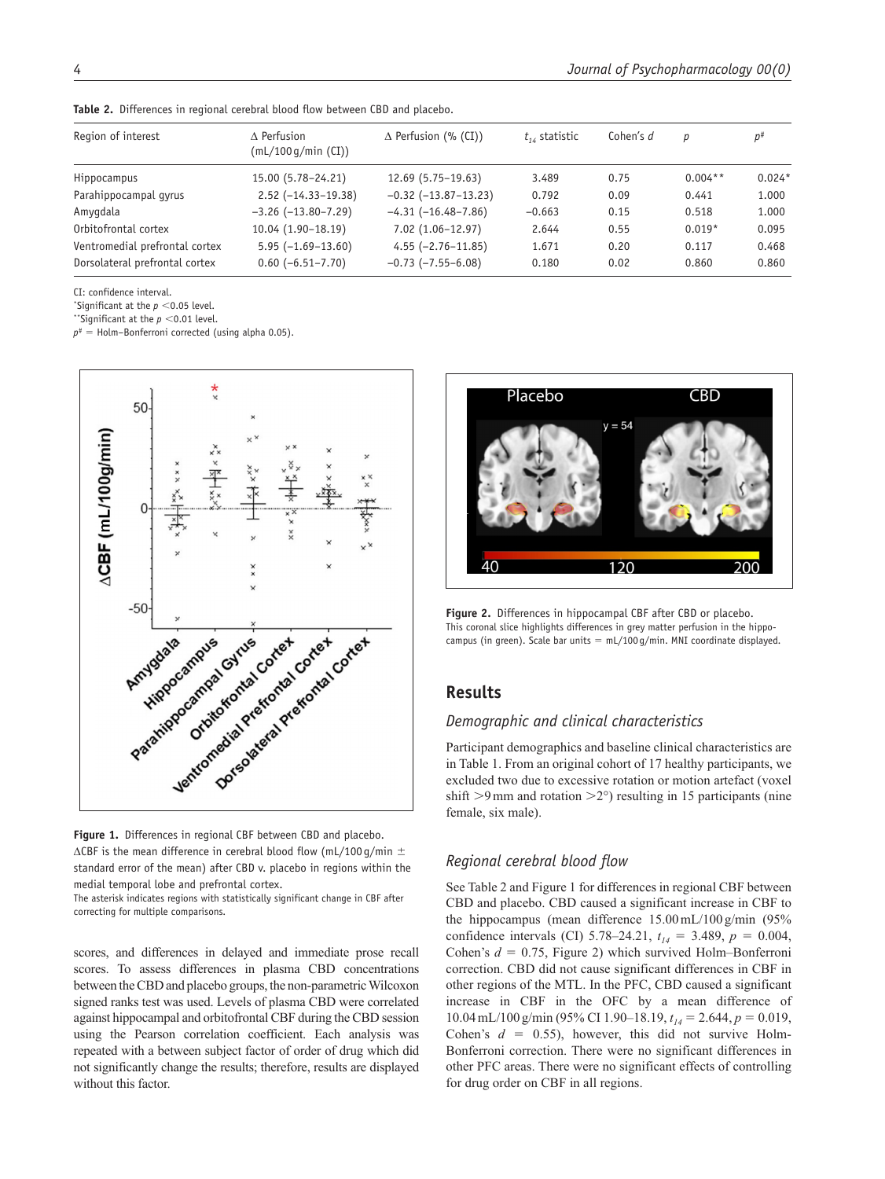| Region of interest             | $\Lambda$ Perfusion<br>(mL/100 q/min (CI)) | $\Delta$ Perfusion (% (CI)) | $t_{14}$ statistic | Cohen's d | D         | p#       |
|--------------------------------|--------------------------------------------|-----------------------------|--------------------|-----------|-----------|----------|
| <b>Hippocampus</b>             | 15.00 (5.78-24.21)                         | $12.69(5.75-19.63)$         | 3.489              | 0.75      | $0.004**$ | $0.024*$ |
| Parahippocampal gyrus          | $2.52$ (-14.33-19.38)                      | $-0.32$ $(-13.87-13.23)$    | 0.792              | 0.09      | 0.441     | 1.000    |
| Amyqdala                       | $-3.26$ $(-13.80 - 7.29)$                  | $-4.31(-16.48-7.86)$        | $-0.663$           | 0.15      | 0.518     | 1.000    |
| Orbitofrontal cortex           | $10.04(1.90-18.19)$                        | $7.02(1.06-12.97)$          | 2.644              | 0.55      | $0.019*$  | 0.095    |
| Ventromedial prefrontal cortex | $5.95 (-1.69 - 13.60)$                     | $4.55 (-2.76 - 11.85)$      | 1.671              | 0.20      | 0.117     | 0.468    |
| Dorsolateral prefrontal cortex | $0.60 (-6.51 - 7.70)$                      | $-0.73$ $(-7.55-6.08)$      | 0.180              | 0.02      | 0.860     | 0.860    |

**Table 2.** Differences in regional cerebral blood flow between CBD and placebo.

CI: confidence interval.

\*Significant at the *p* <0.05 level.

\*\*Significant at the *p* <0.01 level.

 $p^*$  = Holm-Bonferroni corrected (using alpha 0.05).



**Figure 1.** Differences in regional CBF between CBD and placebo.  $\Delta$ CBF is the mean difference in cerebral blood flow (mL/100g/min  $\pm$ standard error of the mean) after CBD v. placebo in regions within the medial temporal lobe and prefrontal cortex.

The asterisk indicates regions with statistically significant change in CBF after correcting for multiple comparisons.

scores, and differences in delayed and immediate prose recall scores. To assess differences in plasma CBD concentrations between the CBD and placebo groups, the non-parametric Wilcoxon signed ranks test was used. Levels of plasma CBD were correlated against hippocampal and orbitofrontal CBF during the CBD session using the Pearson correlation coefficient. Each analysis was repeated with a between subject factor of order of drug which did not significantly change the results; therefore, results are displayed without this factor.



**Figure 2.** Differences in hippocampal CBF after CBD or placebo. This coronal slice highlights differences in grey matter perfusion in the hippocampus (in green). Scale bar units =  $mL/100 g/min$ . MNI coordinate displayed.

# **Results**

# *Demographic and clinical characteristics*

Participant demographics and baseline clinical characteristics are in Table 1. From an original cohort of 17 healthy participants, we excluded two due to excessive rotation or motion artefact (voxel shift  $>9$  mm and rotation  $>2°$ ) resulting in 15 participants (nine female, six male).

# *Regional cerebral blood flow*

See Table 2 and Figure 1 for differences in regional CBF between CBD and placebo. CBD caused a significant increase in CBF to the hippocampus (mean difference 15.00mL/100g/min (95% confidence intervals (CI) 5.78–24.21,  $t_{14} = 3.489$ ,  $p = 0.004$ , Cohen's *d* = 0.75, Figure 2) which survived Holm–Bonferroni correction. CBD did not cause significant differences in CBF in other regions of the MTL. In the PFC, CBD caused a significant increase in CBF in the OFC by a mean difference of  $10.04$  mL/100 g/min (95% CI 1.90–18.19,  $t_{14} = 2.644$ ,  $p = 0.019$ , Cohen's  $d = 0.55$ ), however, this did not survive Holm-Bonferroni correction. There were no significant differences in other PFC areas. There were no significant effects of controlling for drug order on CBF in all regions.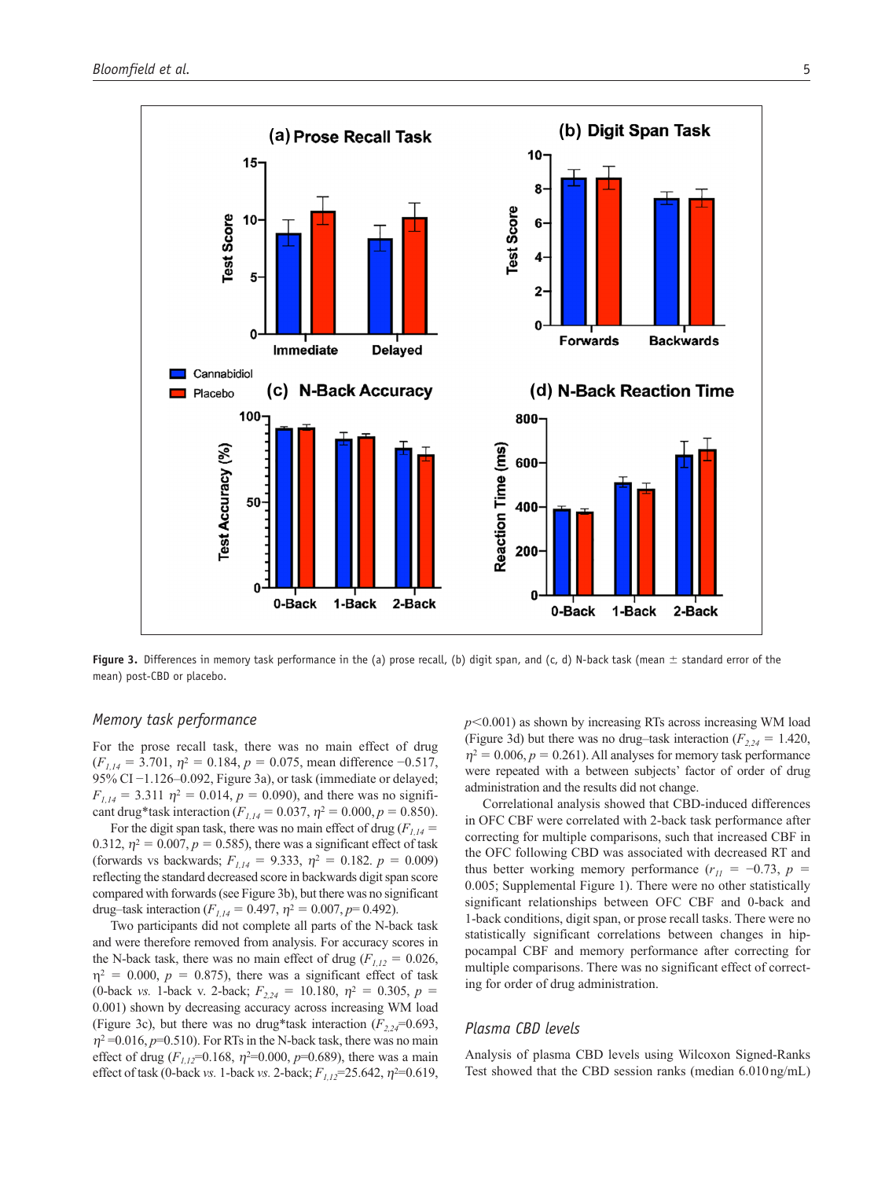

**Figure 3.** Differences in memory task performance in the (a) prose recall, (b) digit span, and (c, d) N-back task (mean  $\pm$  standard error of the mean) post-CBD or placebo.

# *Memory task performance*

For the prose recall task, there was no main effect of drug (*F1,14* = 3.701, η<sup>2</sup> = 0.184, *p* = 0.075, mean difference −0.517, 95% CI −1.126–0.092, Figure 3a), or task (immediate or delayed;  $F_{1,14} = 3.311 \eta^2 = 0.014, p = 0.090$ , and there was no significant drug\*task interaction ( $F_{1,14} = 0.037$ ,  $\eta^2 = 0.000$ ,  $p = 0.850$ ).

For the digit span task, there was no main effect of drug  $(F_{1,14} =$ 0.312,  $\eta^2 = 0.007$ ,  $p = 0.585$ ), there was a significant effect of task (forwards vs backwards;  $F_{1,14} = 9.333$ ,  $\eta^2 = 0.182$ .  $p = 0.009$ ) reflecting the standard decreased score in backwards digit span score compared with forwards (see Figure 3b), but there was no significant drug–task interaction ( $F_{1,14} = 0.497$ ,  $\eta^2 = 0.007$ ,  $p = 0.492$ ).

Two participants did not complete all parts of the N-back task and were therefore removed from analysis. For accuracy scores in the N-back task, there was no main effect of drug ( $F_{1,12} = 0.026$ ,  $\eta^2$  = 0.000,  $p$  = 0.875), there was a significant effect of task (0-back *vs.* 1-back *v.* 2-back;  $F_{2,24} = 10.180$ ,  $\eta^2 = 0.305$ ,  $p =$ 0.001) shown by decreasing accuracy across increasing WM load (Figure 3c), but there was no drug\*task interaction  $(F_{2,24}=0.693,$  $\eta^2$ =0.016,  $p$ =0.510). For RTs in the N-back task, there was no main effect of drug ( $F_{1,12}$ =0.168,  $\eta$ <sup>2=0.000</sup>,  $p$ =0.689), there was a main effect of task (0-back *vs.* 1-back *vs.* 2-back; *F<sub>1,12</sub>*=25.642, *η*<sup>2</sup>=0.619, *p*<0.001) as shown by increasing RTs across increasing WM load (Figure 3d) but there was no drug–task interaction ( $F_{2,24} = 1.420$ ,  $\eta^2 = 0.006$ ,  $p = 0.261$ ). All analyses for memory task performance were repeated with a between subjects' factor of order of drug administration and the results did not change.

Correlational analysis showed that CBD-induced differences in OFC CBF were correlated with 2-back task performance after correcting for multiple comparisons, such that increased CBF in the OFC following CBD was associated with decreased RT and thus better working memory performance  $(r_{II} = -0.73, p =$ 0.005; Supplemental Figure 1). There were no other statistically significant relationships between OFC CBF and 0-back and 1-back conditions, digit span, or prose recall tasks. There were no statistically significant correlations between changes in hippocampal CBF and memory performance after correcting for multiple comparisons. There was no significant effect of correcting for order of drug administration.

## *Plasma CBD levels*

Analysis of plasma CBD levels using Wilcoxon Signed-Ranks Test showed that the CBD session ranks (median 6.010 ng/mL)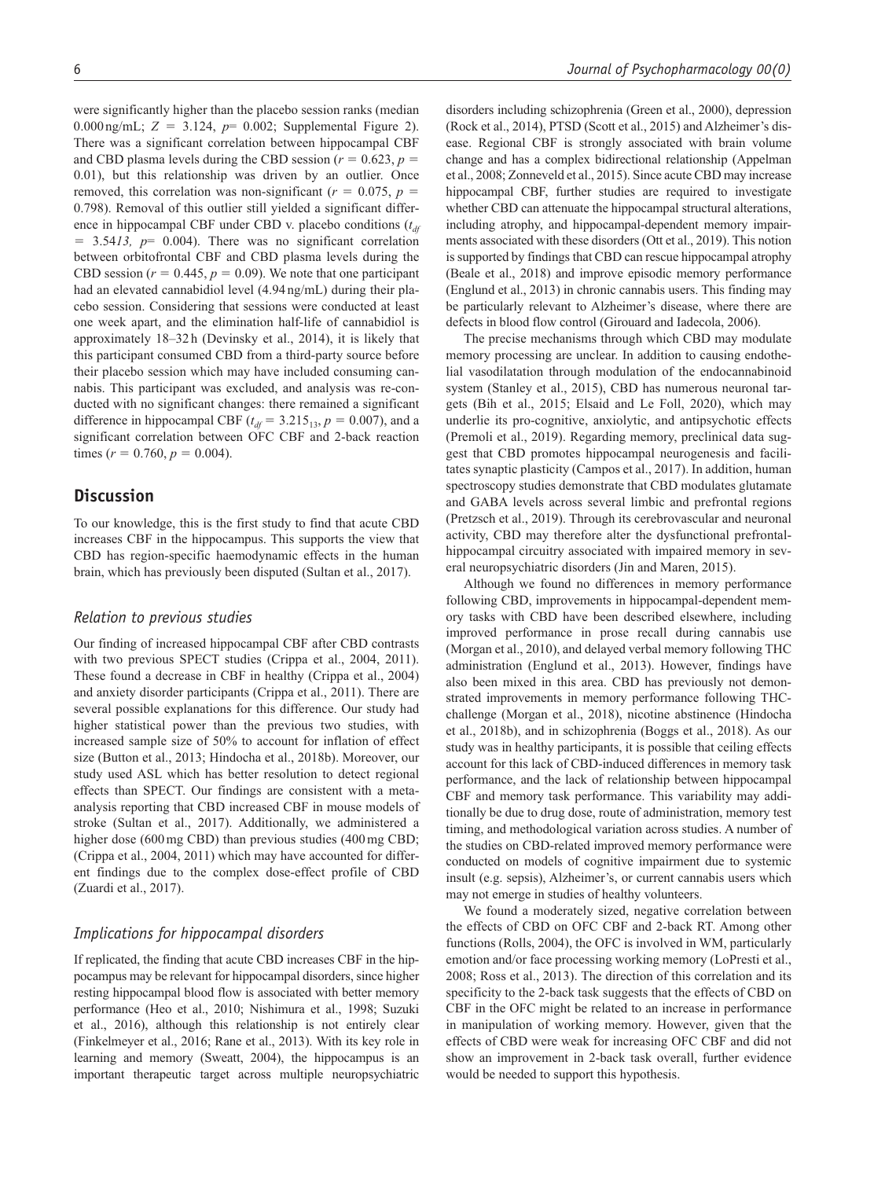were significantly higher than the placebo session ranks (median 0.000ng/mL; *Z* = 3.124, *p*= 0.002; Supplemental Figure 2). There was a significant correlation between hippocampal CBF and CBD plasma levels during the CBD session ( $r = 0.623$ ,  $p =$ 0.01), but this relationship was driven by an outlier. Once removed, this correlation was non-significant ( $r = 0.075$ ,  $p =$ 0.798). Removal of this outlier still yielded a significant difference in hippocampal CBF under CBD v. placebo conditions  $(t_{df}$ = 3.54*13, p*= 0.004). There was no significant correlation between orbitofrontal CBF and CBD plasma levels during the CBD session ( $r = 0.445$ ,  $p = 0.09$ ). We note that one participant had an elevated cannabidiol level (4.94 ng/mL) during their placebo session. Considering that sessions were conducted at least one week apart, and the elimination half-life of cannabidiol is approximately 18–32h (Devinsky et al., 2014), it is likely that this participant consumed CBD from a third-party source before their placebo session which may have included consuming cannabis. This participant was excluded, and analysis was re-conducted with no significant changes: there remained a significant difference in hippocampal CBF  $(t_{df} = 3.215_{13}, p = 0.007)$ , and a significant correlation between OFC CBF and 2-back reaction times ( $r = 0.760$ ,  $p = 0.004$ ).

# **Discussion**

To our knowledge, this is the first study to find that acute CBD increases CBF in the hippocampus. This supports the view that CBD has region-specific haemodynamic effects in the human brain, which has previously been disputed (Sultan et al., 2017).

## *Relation to previous studies*

Our finding of increased hippocampal CBF after CBD contrasts with two previous SPECT studies (Crippa et al., 2004, 2011). These found a decrease in CBF in healthy (Crippa et al., 2004) and anxiety disorder participants (Crippa et al., 2011). There are several possible explanations for this difference. Our study had higher statistical power than the previous two studies, with increased sample size of 50% to account for inflation of effect size (Button et al., 2013; Hindocha et al., 2018b). Moreover, our study used ASL which has better resolution to detect regional effects than SPECT. Our findings are consistent with a metaanalysis reporting that CBD increased CBF in mouse models of stroke (Sultan et al., 2017). Additionally, we administered a higher dose (600 mg CBD) than previous studies (400 mg CBD; (Crippa et al., 2004, 2011) which may have accounted for different findings due to the complex dose-effect profile of CBD (Zuardi et al., 2017).

## *Implications for hippocampal disorders*

If replicated, the finding that acute CBD increases CBF in the hippocampus may be relevant for hippocampal disorders, since higher resting hippocampal blood flow is associated with better memory performance (Heo et al., 2010; Nishimura et al., 1998; Suzuki et al., 2016), although this relationship is not entirely clear (Finkelmeyer et al., 2016; Rane et al., 2013). With its key role in learning and memory (Sweatt, 2004), the hippocampus is an important therapeutic target across multiple neuropsychiatric disorders including schizophrenia (Green et al., 2000), depression (Rock et al., 2014), PTSD (Scott et al., 2015) and Alzheimer's disease. Regional CBF is strongly associated with brain volume change and has a complex bidirectional relationship (Appelman et al., 2008; Zonneveld et al., 2015). Since acute CBD may increase hippocampal CBF, further studies are required to investigate whether CBD can attenuate the hippocampal structural alterations, including atrophy, and hippocampal-dependent memory impairments associated with these disorders (Ott et al., 2019). This notion is supported by findings that CBD can rescue hippocampal atrophy (Beale et al., 2018) and improve episodic memory performance (Englund et al., 2013) in chronic cannabis users. This finding may be particularly relevant to Alzheimer's disease, where there are defects in blood flow control (Girouard and Iadecola, 2006).

The precise mechanisms through which CBD may modulate memory processing are unclear. In addition to causing endothelial vasodilatation through modulation of the endocannabinoid system (Stanley et al., 2015), CBD has numerous neuronal targets (Bih et al., 2015; Elsaid and Le Foll, 2020), which may underlie its pro-cognitive, anxiolytic, and antipsychotic effects (Premoli et al., 2019). Regarding memory, preclinical data suggest that CBD promotes hippocampal neurogenesis and facilitates synaptic plasticity (Campos et al., 2017). In addition, human spectroscopy studies demonstrate that CBD modulates glutamate and GABA levels across several limbic and prefrontal regions (Pretzsch et al., 2019). Through its cerebrovascular and neuronal activity, CBD may therefore alter the dysfunctional prefrontalhippocampal circuitry associated with impaired memory in several neuropsychiatric disorders (Jin and Maren, 2015).

Although we found no differences in memory performance following CBD, improvements in hippocampal-dependent memory tasks with CBD have been described elsewhere, including improved performance in prose recall during cannabis use (Morgan et al., 2010), and delayed verbal memory following THC administration (Englund et al., 2013). However, findings have also been mixed in this area. CBD has previously not demonstrated improvements in memory performance following THCchallenge (Morgan et al., 2018), nicotine abstinence (Hindocha et al., 2018b), and in schizophrenia (Boggs et al., 2018). As our study was in healthy participants, it is possible that ceiling effects account for this lack of CBD-induced differences in memory task performance, and the lack of relationship between hippocampal CBF and memory task performance. This variability may additionally be due to drug dose, route of administration, memory test timing, and methodological variation across studies. A number of the studies on CBD-related improved memory performance were conducted on models of cognitive impairment due to systemic insult (e.g. sepsis), Alzheimer's, or current cannabis users which may not emerge in studies of healthy volunteers.

We found a moderately sized, negative correlation between the effects of CBD on OFC CBF and 2-back RT. Among other functions (Rolls, 2004), the OFC is involved in WM, particularly emotion and/or face processing working memory (LoPresti et al., 2008; Ross et al., 2013). The direction of this correlation and its specificity to the 2-back task suggests that the effects of CBD on CBF in the OFC might be related to an increase in performance in manipulation of working memory. However, given that the effects of CBD were weak for increasing OFC CBF and did not show an improvement in 2-back task overall, further evidence would be needed to support this hypothesis.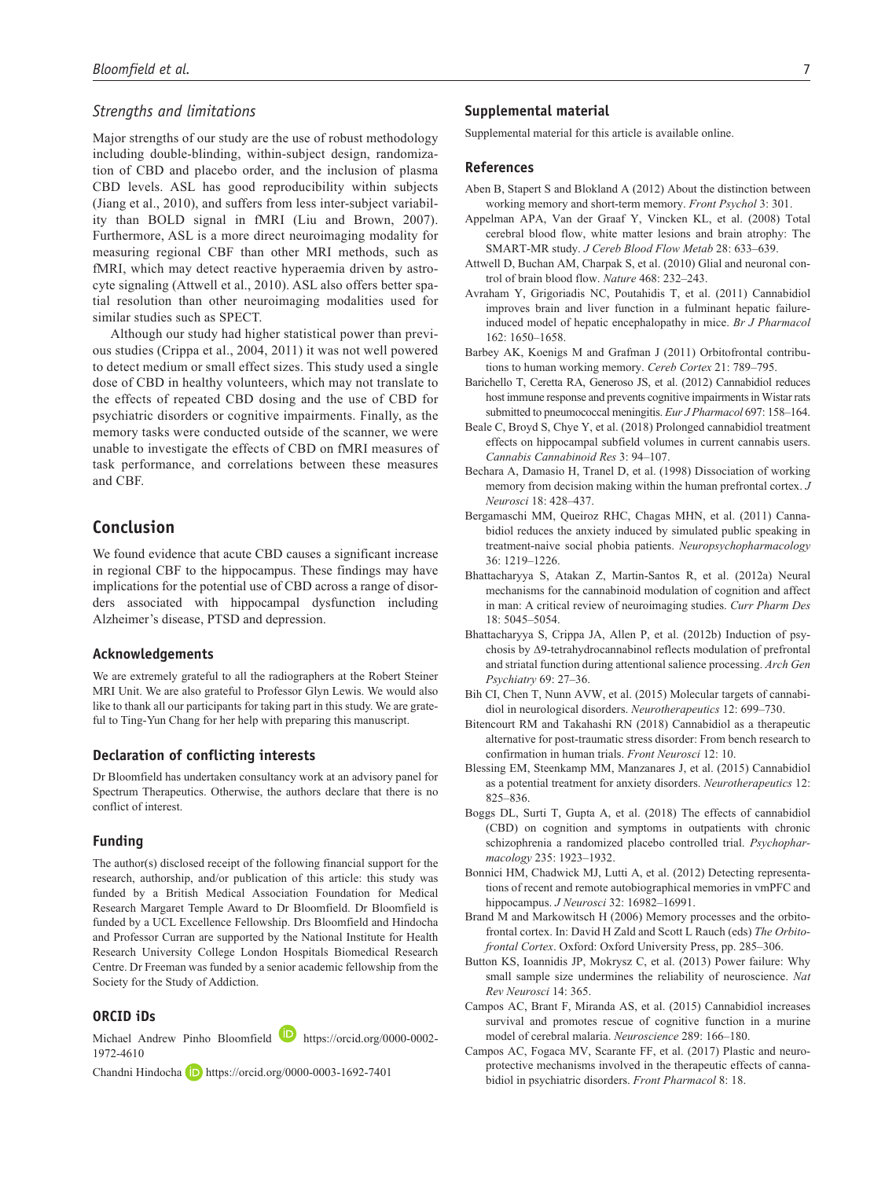## *Strengths and limitations*

Major strengths of our study are the use of robust methodology including double-blinding, within-subject design, randomization of CBD and placebo order, and the inclusion of plasma CBD levels. ASL has good reproducibility within subjects (Jiang et al., 2010), and suffers from less inter-subject variability than BOLD signal in fMRI (Liu and Brown, 2007). Furthermore, ASL is a more direct neuroimaging modality for measuring regional CBF than other MRI methods, such as fMRI, which may detect reactive hyperaemia driven by astrocyte signaling (Attwell et al., 2010). ASL also offers better spatial resolution than other neuroimaging modalities used for similar studies such as SPECT.

Although our study had higher statistical power than previous studies (Crippa et al., 2004, 2011) it was not well powered to detect medium or small effect sizes. This study used a single dose of CBD in healthy volunteers, which may not translate to the effects of repeated CBD dosing and the use of CBD for psychiatric disorders or cognitive impairments. Finally, as the memory tasks were conducted outside of the scanner, we were unable to investigate the effects of CBD on fMRI measures of task performance, and correlations between these measures and CBF.

# **Conclusion**

We found evidence that acute CBD causes a significant increase in regional CBF to the hippocampus. These findings may have implications for the potential use of CBD across a range of disorders associated with hippocampal dysfunction including Alzheimer's disease, PTSD and depression.

#### **Acknowledgements**

We are extremely grateful to all the radiographers at the Robert Steiner MRI Unit. We are also grateful to Professor Glyn Lewis. We would also like to thank all our participants for taking part in this study. We are grateful to Ting-Yun Chang for her help with preparing this manuscript.

## **Declaration of conflicting interests**

Dr Bloomfield has undertaken consultancy work at an advisory panel for Spectrum Therapeutics. Otherwise, the authors declare that there is no conflict of interest.

#### **Funding**

The author(s) disclosed receipt of the following financial support for the research, authorship, and/or publication of this article: this study was funded by a British Medical Association Foundation for Medical Research Margaret Temple Award to Dr Bloomfield. Dr Bloomfield is funded by a UCL Excellence Fellowship. Drs Bloomfield and Hindocha and Professor Curran are supported by the National Institute for Health Research University College London Hospitals Biomedical Research Centre. Dr Freeman was funded by a senior academic fellowship from the Society for the Study of Addiction.

## **ORCID iDs**

Michael Andrew Pinho Bloomfield [https://orcid.org/0000-0002-](https://orcid.org/0000-0002-1972-4610) [1972-4610](https://orcid.org/0000-0002-1972-4610)

Chandni Hindocha **D** <https://orcid.org/0000-0003-1692-7401>

#### **Supplemental material**

Supplemental material for this article is available online.

## **References**

- Aben B, Stapert S and Blokland A (2012) About the distinction between working memory and short-term memory. *Front Psychol* 3: 301.
- Appelman APA, Van der Graaf Y, Vincken KL, et al. (2008) Total cerebral blood flow, white matter lesions and brain atrophy: The SMART-MR study. *J Cereb Blood Flow Metab* 28: 633–639.
- Attwell D, Buchan AM, Charpak S, et al. (2010) Glial and neuronal control of brain blood flow. *Nature* 468: 232–243.
- Avraham Y, Grigoriadis NC, Poutahidis T, et al. (2011) Cannabidiol improves brain and liver function in a fulminant hepatic failureinduced model of hepatic encephalopathy in mice. *Br J Pharmacol* 162: 1650–1658.
- Barbey AK, Koenigs M and Grafman J (2011) Orbitofrontal contributions to human working memory. *Cereb Cortex* 21: 789–795.
- Barichello T, Ceretta RA, Generoso JS, et al. (2012) Cannabidiol reduces host immune response and prevents cognitive impairments in Wistar rats submitted to pneumococcal meningitis. *Eur J Pharmacol* 697: 158–164.
- Beale C, Broyd S, Chye Y, et al. (2018) Prolonged cannabidiol treatment effects on hippocampal subfield volumes in current cannabis users. *Cannabis Cannabinoid Res* 3: 94–107.
- Bechara A, Damasio H, Tranel D, et al. (1998) Dissociation of working memory from decision making within the human prefrontal cortex. *J Neurosci* 18: 428–437.
- Bergamaschi MM, Queiroz RHC, Chagas MHN, et al. (2011) Cannabidiol reduces the anxiety induced by simulated public speaking in treatment-naive social phobia patients. *Neuropsychopharmacology* 36: 1219–1226.
- Bhattacharyya S, Atakan Z, Martin-Santos R, et al. (2012a) Neural mechanisms for the cannabinoid modulation of cognition and affect in man: A critical review of neuroimaging studies. *Curr Pharm Des* 18: 5045–5054.
- Bhattacharyya S, Crippa JA, Allen P, et al. (2012b) Induction of psychosis by Δ9-tetrahydrocannabinol reflects modulation of prefrontal and striatal function during attentional salience processing. *Arch Gen Psychiatry* 69: 27–36.
- Bih CI, Chen T, Nunn AVW, et al. (2015) Molecular targets of cannabidiol in neurological disorders. *Neurotherapeutics* 12: 699–730.
- Bitencourt RM and Takahashi RN (2018) Cannabidiol as a therapeutic alternative for post-traumatic stress disorder: From bench research to confirmation in human trials. *Front Neurosci* 12: 10.
- Blessing EM, Steenkamp MM, Manzanares J, et al. (2015) Cannabidiol as a potential treatment for anxiety disorders. *Neurotherapeutics* 12: 825–836.
- Boggs DL, Surti T, Gupta A, et al. (2018) The effects of cannabidiol (CBD) on cognition and symptoms in outpatients with chronic schizophrenia a randomized placebo controlled trial. *Psychopharmacology* 235: 1923–1932.
- Bonnici HM, Chadwick MJ, Lutti A, et al. (2012) Detecting representations of recent and remote autobiographical memories in vmPFC and hippocampus. *J Neurosci* 32: 16982–16991.
- Brand M and Markowitsch H (2006) Memory processes and the orbitofrontal cortex. In: David H Zald and Scott L Rauch (eds) *The Orbitofrontal Cortex*. Oxford: Oxford University Press, pp. 285–306.
- Button KS, Ioannidis JP, Mokrysz C, et al. (2013) Power failure: Why small sample size undermines the reliability of neuroscience. *Nat Rev Neurosci* 14: 365.
- Campos AC, Brant F, Miranda AS, et al. (2015) Cannabidiol increases survival and promotes rescue of cognitive function in a murine model of cerebral malaria. *Neuroscience* 289: 166–180.
- Campos AC, Fogaca MV, Scarante FF, et al. (2017) Plastic and neuroprotective mechanisms involved in the therapeutic effects of cannabidiol in psychiatric disorders. *Front Pharmacol* 8: 18.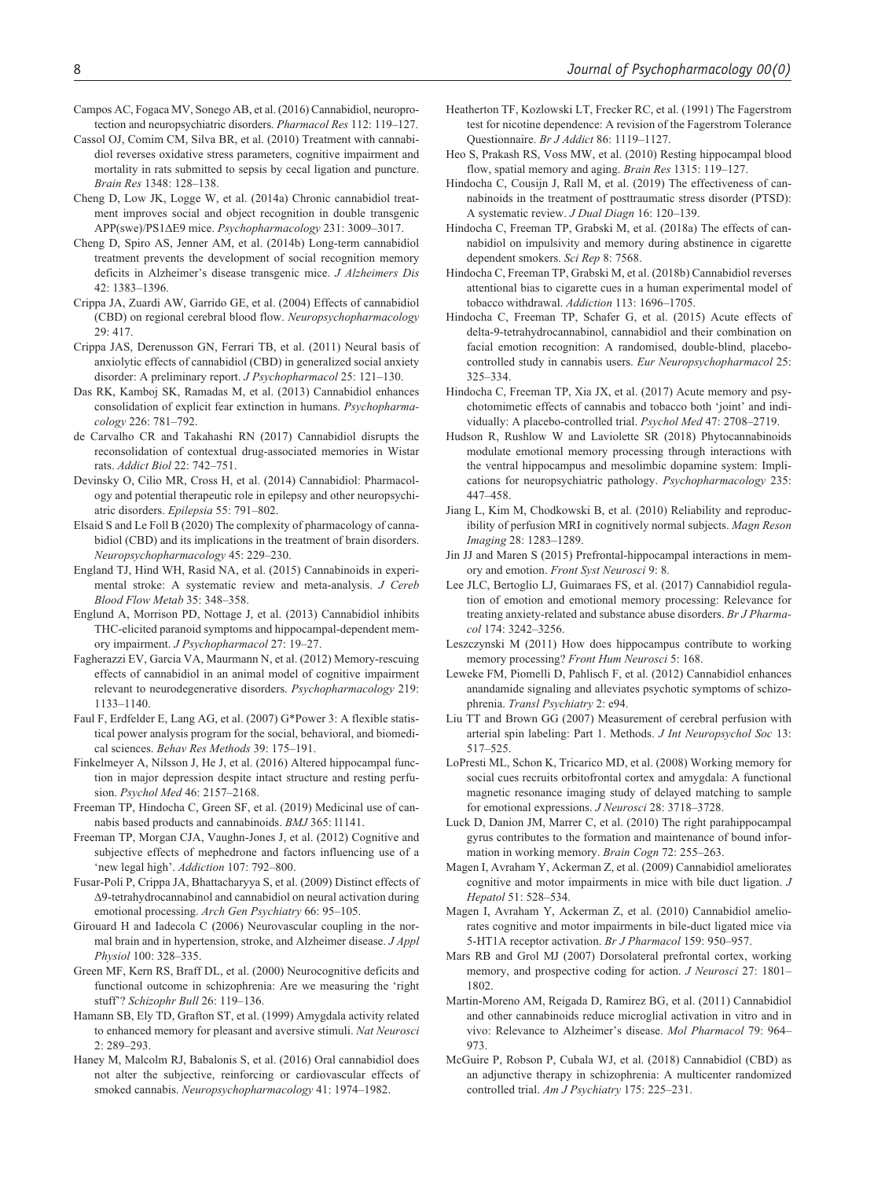- Campos AC, Fogaca MV, Sonego AB, et al. (2016) Cannabidiol, neuroprotection and neuropsychiatric disorders. *Pharmacol Res* 112: 119–127.
- Cassol OJ, Comim CM, Silva BR, et al. (2010) Treatment with cannabidiol reverses oxidative stress parameters, cognitive impairment and mortality in rats submitted to sepsis by cecal ligation and puncture. *Brain Res* 1348: 128–138.
- Cheng D, Low JK, Logge W, et al. (2014a) Chronic cannabidiol treatment improves social and object recognition in double transgenic APP(swe)/PS1ΔE9 mice. *Psychopharmacology* 231: 3009–3017.
- Cheng D, Spiro AS, Jenner AM, et al. (2014b) Long-term cannabidiol treatment prevents the development of social recognition memory deficits in Alzheimer's disease transgenic mice. *J Alzheimers Dis* 42: 1383–1396.
- Crippa JA, Zuardi AW, Garrido GE, et al. (2004) Effects of cannabidiol (CBD) on regional cerebral blood flow. *Neuropsychopharmacology* 29: 417.
- Crippa JAS, Derenusson GN, Ferrari TB, et al. (2011) Neural basis of anxiolytic effects of cannabidiol (CBD) in generalized social anxiety disorder: A preliminary report. *J Psychopharmacol* 25: 121–130.
- Das RK, Kamboj SK, Ramadas M, et al. (2013) Cannabidiol enhances consolidation of explicit fear extinction in humans. *Psychopharmacology* 226: 781–792.
- de Carvalho CR and Takahashi RN (2017) Cannabidiol disrupts the reconsolidation of contextual drug-associated memories in Wistar rats. *Addict Biol* 22: 742–751.
- Devinsky O, Cilio MR, Cross H, et al. (2014) Cannabidiol: Pharmacology and potential therapeutic role in epilepsy and other neuropsychiatric disorders. *Epilepsia* 55: 791–802.
- Elsaid S and Le Foll B (2020) The complexity of pharmacology of cannabidiol (CBD) and its implications in the treatment of brain disorders. *Neuropsychopharmacology* 45: 229–230.
- England TJ, Hind WH, Rasid NA, et al. (2015) Cannabinoids in experimental stroke: A systematic review and meta-analysis. *J Cereb Blood Flow Metab* 35: 348–358.
- Englund A, Morrison PD, Nottage J, et al. (2013) Cannabidiol inhibits THC-elicited paranoid symptoms and hippocampal-dependent memory impairment. *J Psychopharmacol* 27: 19–27.
- Fagherazzi EV, Garcia VA, Maurmann N, et al. (2012) Memory-rescuing effects of cannabidiol in an animal model of cognitive impairment relevant to neurodegenerative disorders. *Psychopharmacology* 219: 1133–1140.
- Faul F, Erdfelder E, Lang AG, et al. (2007) G\*Power 3: A flexible statistical power analysis program for the social, behavioral, and biomedical sciences. *Behav Res Methods* 39: 175–191.
- Finkelmeyer A, Nilsson J, He J, et al. (2016) Altered hippocampal function in major depression despite intact structure and resting perfusion. *Psychol Med* 46: 2157–2168.
- Freeman TP, Hindocha C, Green SF, et al. (2019) Medicinal use of cannabis based products and cannabinoids. *BMJ* 365: l1141.
- Freeman TP, Morgan CJA, Vaughn-Jones J, et al. (2012) Cognitive and subjective effects of mephedrone and factors influencing use of a 'new legal high'. *Addiction* 107: 792–800.
- Fusar-Poli P, Crippa JA, Bhattacharyya S, et al. (2009) Distinct effects of Δ9-tetrahydrocannabinol and cannabidiol on neural activation during emotional processing. *Arch Gen Psychiatry* 66: 95–105.
- Girouard H and Iadecola C (2006) Neurovascular coupling in the normal brain and in hypertension, stroke, and Alzheimer disease. *J Appl Physiol* 100: 328–335.
- Green MF, Kern RS, Braff DL, et al. (2000) Neurocognitive deficits and functional outcome in schizophrenia: Are we measuring the 'right stuff'? *Schizophr Bull* 26: 119–136.
- Hamann SB, Ely TD, Grafton ST, et al. (1999) Amygdala activity related to enhanced memory for pleasant and aversive stimuli. *Nat Neurosci* 2: 289–293.
- Haney M, Malcolm RJ, Babalonis S, et al. (2016) Oral cannabidiol does not alter the subjective, reinforcing or cardiovascular effects of smoked cannabis. *Neuropsychopharmacology* 41: 1974–1982.
- Heatherton TF, Kozlowski LT, Frecker RC, et al. (1991) The Fagerstrom test for nicotine dependence: A revision of the Fagerstrom Tolerance Questionnaire. *Br J Addict* 86: 1119–1127.
- Heo S, Prakash RS, Voss MW, et al. (2010) Resting hippocampal blood flow, spatial memory and aging. *Brain Res* 1315: 119–127.
- Hindocha C, Cousijn J, Rall M, et al. (2019) The effectiveness of cannabinoids in the treatment of posttraumatic stress disorder (PTSD): A systematic review. *J Dual Diagn* 16: 120–139.
- Hindocha C, Freeman TP, Grabski M, et al. (2018a) The effects of cannabidiol on impulsivity and memory during abstinence in cigarette dependent smokers. *Sci Rep* 8: 7568.
- Hindocha C, Freeman TP, Grabski M, et al. (2018b) Cannabidiol reverses attentional bias to cigarette cues in a human experimental model of tobacco withdrawal. *Addiction* 113: 1696–1705.
- Hindocha C, Freeman TP, Schafer G, et al. (2015) Acute effects of delta-9-tetrahydrocannabinol, cannabidiol and their combination on facial emotion recognition: A randomised, double-blind, placebocontrolled study in cannabis users. *Eur Neuropsychopharmacol* 25: 325–334.
- Hindocha C, Freeman TP, Xia JX, et al. (2017) Acute memory and psychotomimetic effects of cannabis and tobacco both 'joint' and individually: A placebo-controlled trial. *Psychol Med* 47: 2708–2719.
- Hudson R, Rushlow W and Laviolette SR (2018) Phytocannabinoids modulate emotional memory processing through interactions with the ventral hippocampus and mesolimbic dopamine system: Implications for neuropsychiatric pathology. *Psychopharmacology* 235: 447–458.
- Jiang L, Kim M, Chodkowski B, et al. (2010) Reliability and reproducibility of perfusion MRI in cognitively normal subjects. *Magn Reson Imaging* 28: 1283–1289.
- Jin JJ and Maren S (2015) Prefrontal-hippocampal interactions in memory and emotion. *Front Syst Neurosci* 9: 8.
- Lee JLC, Bertoglio LJ, Guimaraes FS, et al. (2017) Cannabidiol regulation of emotion and emotional memory processing: Relevance for treating anxiety-related and substance abuse disorders. *Br J Pharmacol* 174: 3242–3256.
- Leszczynski M (2011) How does hippocampus contribute to working memory processing? *Front Hum Neurosci* 5: 168.
- Leweke FM, Piomelli D, Pahlisch F, et al. (2012) Cannabidiol enhances anandamide signaling and alleviates psychotic symptoms of schizophrenia. *Transl Psychiatry* 2: e94.
- Liu TT and Brown GG (2007) Measurement of cerebral perfusion with arterial spin labeling: Part 1. Methods. *J Int Neuropsychol Soc* 13: 517–525.
- LoPresti ML, Schon K, Tricarico MD, et al. (2008) Working memory for social cues recruits orbitofrontal cortex and amygdala: A functional magnetic resonance imaging study of delayed matching to sample for emotional expressions. *J Neurosci* 28: 3718–3728.
- Luck D, Danion JM, Marrer C, et al. (2010) The right parahippocampal gyrus contributes to the formation and maintenance of bound information in working memory. *Brain Cogn* 72: 255–263.
- Magen I, Avraham Y, Ackerman Z, et al. (2009) Cannabidiol ameliorates cognitive and motor impairments in mice with bile duct ligation. *J Hepatol* 51: 528–534.
- Magen I, Avraham Y, Ackerman Z, et al. (2010) Cannabidiol ameliorates cognitive and motor impairments in bile-duct ligated mice via 5-HT1A receptor activation. *Br J Pharmacol* 159: 950–957.
- Mars RB and Grol MJ (2007) Dorsolateral prefrontal cortex, working memory, and prospective coding for action. *J Neurosci* 27: 1801– 1802.
- Martin-Moreno AM, Reigada D, Ramirez BG, et al. (2011) Cannabidiol and other cannabinoids reduce microglial activation in vitro and in vivo: Relevance to Alzheimer's disease. *Mol Pharmacol* 79: 964– 973.
- McGuire P, Robson P, Cubala WJ, et al. (2018) Cannabidiol (CBD) as an adjunctive therapy in schizophrenia: A multicenter randomized controlled trial. *Am J Psychiatry* 175: 225–231.